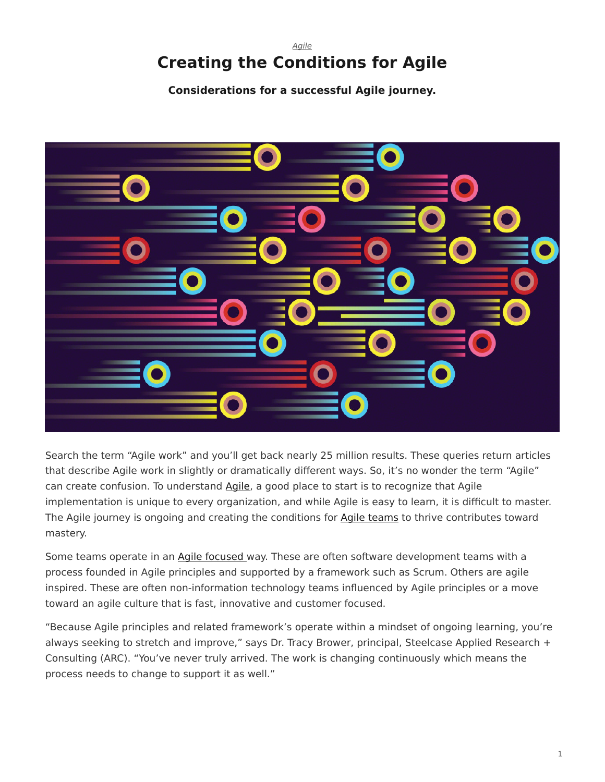# <span id="page-0-0"></span>*[Agile](https://www.steelcase.com/research/topics/agile/)* **Creating the Conditions for Agile**

**Considerations for a successful Agile journey.**



Search the term "Agile work" and you'll get back nearly 25 million results. These queries return articles that describe Agile work in slightly or dramatically different ways. So, it's no wonder the term "Agile" can create confusion. To understand [Agile](https://www.steelcase.com/research/topics/agile/), a good place to start is to recognize that Agile implementation is unique to every organization, and while Agile is easy to learn, it is difficult to master. The Agile journey is ongoing and creating the conditions for [Agile teams](https://www.steelcase.com/research/articles/topics/agile/ten-things-agile-teams-need-know/) to thrive contributes toward mastery.

Some teams operate in an [Agile focused](https://www.steelcase.com/research/articles/six-ways-support-agile-teams/) way. These are often software development teams with a process founded in Agile principles and supported by a framework such as Scrum. Others are agile inspired. These are often non-information technology teams influenced by Agile principles or a move toward an agile culture that is fast, innovative and customer focused.

"Because Agile principles and related framework's operate within a mindset of ongoing learning, you're always seeking to stretch and improve," says Dr. Tracy Brower, principal, Steelcase Applied Research + Consulting (ARC). "You've never truly arrived. The work is changing continuously which means the process needs to change to support it as well."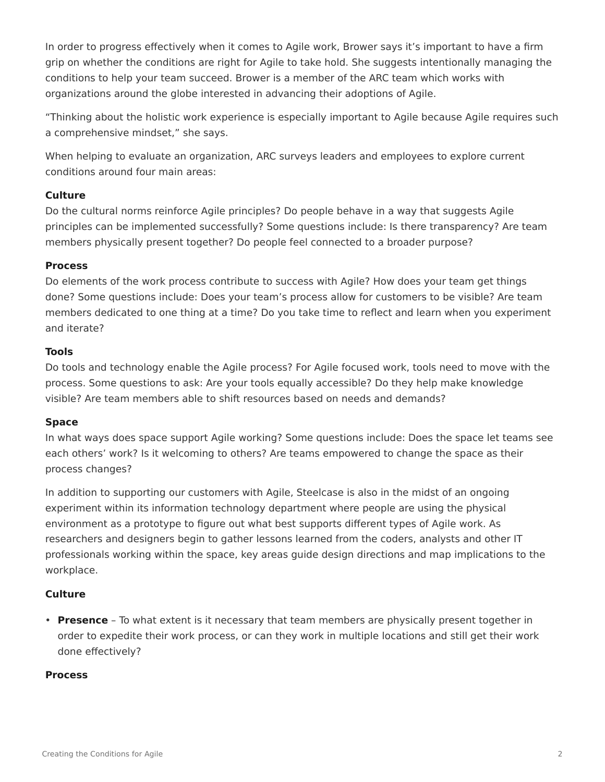In order to progress effectively when it comes to Agile work, Brower says it's important to have a firm grip on whether the conditions are right for Agile to take hold. She suggests intentionally managing the conditions to help your team succeed. Brower is a member of the ARC team which works with organizations around the globe interested in advancing their adoptions of Agile.

"Thinking about the holistic work experience is especially important to Agile because Agile requires such a comprehensive mindset," she says.

When helping to evaluate an organization, ARC surveys leaders and employees to explore current conditions around four main areas:

# **Culture**

Do the cultural norms reinforce Agile principles? Do people behave in a way that suggests Agile principles can be implemented successfully? Some questions include: Is there transparency? Are team members physically present together? Do people feel connected to a broader purpose?

## **Process**

Do elements of the work process contribute to success with Agile? How does your team get things done? Some questions include: Does your team's process allow for customers to be visible? Are team members dedicated to one thing at a time? Do you take time to reflect and learn when you experiment and iterate?

# **Tools**

Do tools and technology enable the Agile process? For Agile focused work, tools need to move with the process. Some questions to ask: Are your tools equally accessible? Do they help make knowledge visible? Are team members able to shift resources based on needs and demands?

## **Space**

In what ways does space support Agile working? Some questions include: Does the space let teams see each others' work? Is it welcoming to others? Are teams empowered to change the space as their process changes?

In addition to supporting our customers with Agile, Steelcase is also in the midst of an ongoing experiment within its information technology department where people are using the physical environment as a prototype to figure out what best supports different types of Agile work. As researchers and designers begin to gather lessons learned from the coders, analysts and other IT professionals working within the space, key areas guide design directions and map implications to the workplace.

## **Culture**

• **Presence** – To what extent is it necessary that team members are physically present together in order to expedite their work process, or can they work in multiple locations and still get their work done effectively?

## **Process**